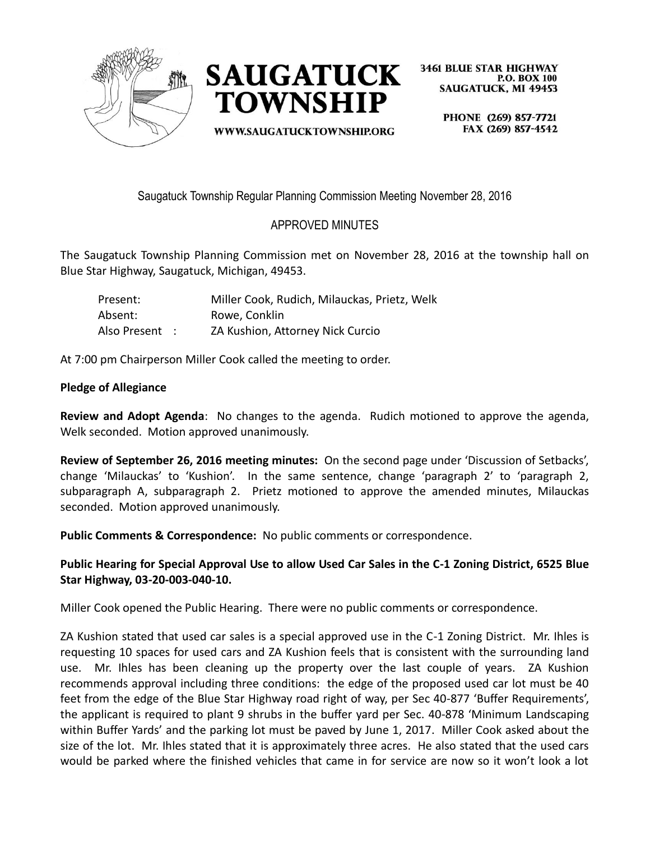



**WWW.SAUGATUCKTOWNSHIP.ORG** 

**3461 BLUE STAR HIGHWAY P.O. BOX 100 SAUGATUCK, MI 49453** 

> PHONE (269) 857-7721 FAX (269) 857-4542

Saugatuck Township Regular Planning Commission Meeting November 28, 2016

## APPROVED MINUTES

The Saugatuck Township Planning Commission met on November 28, 2016 at the township hall on Blue Star Highway, Saugatuck, Michigan, 49453.

| Present:       | Miller Cook, Rudich, Milauckas, Prietz, Welk |
|----------------|----------------------------------------------|
| Absent:        | Rowe, Conklin                                |
| Also Present : | ZA Kushion, Attorney Nick Curcio             |

At 7:00 pm Chairperson Miller Cook called the meeting to order.

## **Pledge of Allegiance**

**Review and Adopt Agenda**: No changes to the agenda. Rudich motioned to approve the agenda, Welk seconded. Motion approved unanimously.

**Review of September 26, 2016 meeting minutes:** On the second page under 'Discussion of Setbacks', change 'Milauckas' to 'Kushion'. In the same sentence, change 'paragraph 2' to 'paragraph 2, subparagraph A, subparagraph 2. Prietz motioned to approve the amended minutes, Milauckas seconded. Motion approved unanimously.

**Public Comments & Correspondence:** No public comments or correspondence.

**Public Hearing for Special Approval Use to allow Used Car Sales in the C-1 Zoning District, 6525 Blue Star Highway, 03-20-003-040-10.**

Miller Cook opened the Public Hearing. There were no public comments or correspondence.

ZA Kushion stated that used car sales is a special approved use in the C-1 Zoning District. Mr. Ihles is requesting 10 spaces for used cars and ZA Kushion feels that is consistent with the surrounding land use. Mr. Ihles has been cleaning up the property over the last couple of years. ZA Kushion recommends approval including three conditions: the edge of the proposed used car lot must be 40 feet from the edge of the Blue Star Highway road right of way, per Sec 40-877 'Buffer Requirements', the applicant is required to plant 9 shrubs in the buffer yard per Sec. 40-878 'Minimum Landscaping within Buffer Yards' and the parking lot must be paved by June 1, 2017. Miller Cook asked about the size of the lot. Mr. Ihles stated that it is approximately three acres. He also stated that the used cars would be parked where the finished vehicles that came in for service are now so it won't look a lot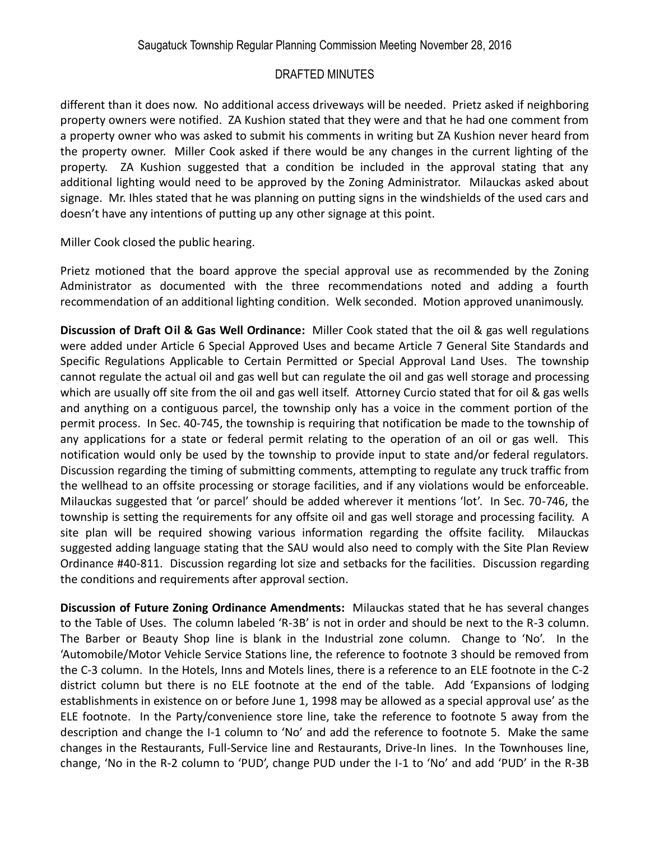## DRAFTED MINUTES

different than it does now. No additional access driveways will be needed. Prietz asked if neighboring property owners were notified. ZA Kushion stated that they were and that he had one comment from a property owner who was asked to submit his comments in writing but ZA Kushion never heard from the property owner. Miller Cook asked if there would be any changes in the current lighting of the property. ZA Kushion suggested that a condition be included in the approval stating that any additional lighting would need to be approved by the Zoning Administrator. Milauckas asked about signage. Mr. Ihles stated that he was planning on putting signs in the windshields of the used cars and doesn't have any intentions of putting up any other signage at this point.

Miller Cook closed the public hearing.

Prietz motioned that the board approve the special approval use as recommended by the Zoning Administrator as documented with the three recommendations noted and adding a fourth recommendation of an additional lighting condition. Welk seconded. Motion approved unanimously.

**Discussion of Draft Oil & Gas Well Ordinance:** Miller Cook stated that the oil & gas well regulations were added under Article 6 Special Approved Uses and became Article 7 General Site Standards and Specific Regulations Applicable to Certain Permitted or Special Approval Land Uses. The township cannot regulate the actual oil and gas well but can regulate the oil and gas well storage and processing which are usually off site from the oil and gas well itself. Attorney Curcio stated that for oil & gas wells and anything on a contiguous parcel, the township only has a voice in the comment portion of the permit process. In Sec. 40-745, the township is requiring that notification be made to the township of any applications for a state or federal permit relating to the operation of an oil or gas well. This notification would only be used by the township to provide input to state and/or federal regulators. Discussion regarding the timing of submitting comments, attempting to regulate any truck traffic from the wellhead to an offsite processing or storage facilities, and if any violations would be enforceable. Milauckas suggested that 'or parcel' should be added wherever it mentions 'lot'. In Sec. 70-746, the township is setting the requirements for any offsite oil and gas well storage and processing facility. A site plan will be required showing various information regarding the offsite facility. Milauckas suggested adding language stating that the SAU would also need to comply with the Site Plan Review Ordinance #40-811. Discussion regarding lot size and setbacks for the facilities. Discussion regarding the conditions and requirements after approval section.

**Discussion of Future Zoning Ordinance Amendments:** Milauckas stated that he has several changes to the Table of Uses. The column labeled 'R-3B' is not in order and should be next to the R-3 column. The Barber or Beauty Shop line is blank in the Industrial zone column. Change to 'No'. In the 'Automobile/Motor Vehicle Service Stations line, the reference to footnote 3 should be removed from the C-3 column. In the Hotels, Inns and Motels lines, there is a reference to an ELE footnote in the C-2 district column but there is no ELE footnote at the end of the table. Add 'Expansions of lodging establishments in existence on or before June 1, 1998 may be allowed as a special approval use' as the ELE footnote. In the Party/convenience store line, take the reference to footnote 5 away from the description and change the I-1 column to 'No' and add the reference to footnote 5. Make the same changes in the Restaurants, Full-Service line and Restaurants, Drive-In lines. In the Townhouses line, change, 'No in the R-2 column to 'PUD', change PUD under the I-1 to 'No' and add 'PUD' in the R-3B